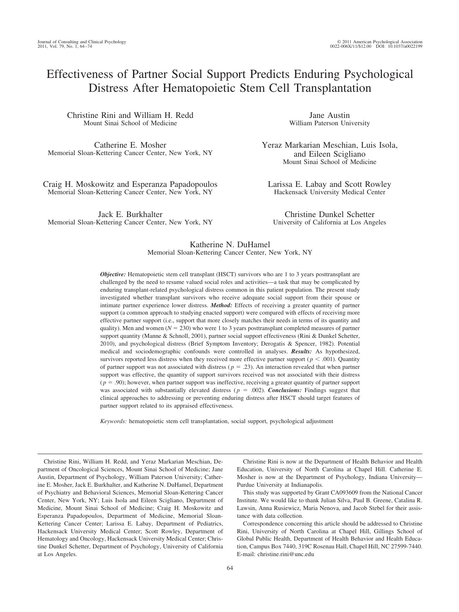# Effectiveness of Partner Social Support Predicts Enduring Psychological Distress After Hematopoietic Stem Cell Transplantation

Christine Rini and William H. Redd Mount Sinai School of Medicine

Catherine E. Mosher Memorial Sloan-Kettering Cancer Center, New York, NY

Craig H. Moskowitz and Esperanza Papadopoulos Memorial Sloan-Kettering Cancer Center, New York, NY

Jack E. Burkhalter Memorial Sloan-Kettering Cancer Center, New York, NY

Jane Austin William Paterson University

Yeraz Markarian Meschian, Luis Isola, and Eileen Scigliano Mount Sinai School of Medicine

Larissa E. Labay and Scott Rowley Hackensack University Medical Center

Christine Dunkel Schetter University of California at Los Angeles

### Katherine N. DuHamel Memorial Sloan-Kettering Cancer Center, New York, NY

*Objective:* Hematopoietic stem cell transplant (HSCT) survivors who are 1 to 3 years posttransplant are challenged by the need to resume valued social roles and activities—a task that may be complicated by enduring transplant-related psychological distress common in this patient population. The present study investigated whether transplant survivors who receive adequate social support from their spouse or intimate partner experience lower distress. *Method:* Effects of receiving a greater quantity of partner support (a common approach to studying enacted support) were compared with effects of receiving more effective partner support (i.e., support that more closely matches their needs in terms of its quantity and quality). Men and women  $(N = 230)$  who were 1 to 3 years posttransplant completed measures of partner support quantity (Manne & Schnoll, 2001), partner social support effectiveness (Rini & Dunkel Schetter, 2010), and psychological distress (Brief Symptom Inventory; Derogatis & Spencer, 1982). Potential medical and sociodemographic confounds were controlled in analyses. *Results:* As hypothesized, survivors reported less distress when they received more effective partner support ( $p < .001$ ). Quantity of partner support was not associated with distress ( $p = .23$ ). An interaction revealed that when partner support was effective, the quantity of support survivors received was not associated with their distress  $(p = .90)$ ; however, when partner support was ineffective, receiving a greater quantity of partner support was associated with substantially elevated distress ( $p = .002$ ). *Conclusions:* Findings suggest that clinical approaches to addressing or preventing enduring distress after HSCT should target features of partner support related to its appraised effectiveness.

*Keywords:* hematopoietic stem cell transplantation, social support, psychological adjustment

Christine Rini, William H. Redd, and Yeraz Markarian Meschian, Department of Oncological Sciences, Mount Sinai School of Medicine; Jane Austin, Department of Psychology, William Paterson University; Catherine E. Mosher, Jack E. Burkhalter, and Katherine N. DuHamel, Department of Psychiatry and Behavioral Sciences, Memorial Sloan-Kettering Cancer Center, New York, NY; Luis Isola and Eileen Scigliano, Department of Medicine, Mount Sinai School of Medicine; Craig H. Moskowitz and Esperanza Papadopoulos, Department of Medicine, Memorial Sloan-Kettering Cancer Center; Larissa E. Labay, Department of Pediatrics, Hackensack University Medical Center; Scott Rowley, Department of Hematology and Oncology, Hackensack University Medical Center; Christine Dunkel Schetter, Department of Psychology, University of California at Los Angeles.

Christine Rini is now at the Department of Health Behavior and Health Education, University of North Carolina at Chapel Hill. Catherine E. Mosher is now at the Department of Psychology, Indiana University— Purdue University at Indianapolis.

This study was supported by Grant CA093609 from the National Cancer Institute. We would like to thank Julian Silva, Paul B. Greene, Catalina R. Lawsin, Anna Rusiewicz, Maria Nenova, and Jacob Stebel for their assistance with data collection.

Correspondence concerning this article should be addressed to Christine Rini, University of North Carolina at Chapel Hill, Gillings School of Global Public Health, Department of Health Behavior and Health Education, Campus Box 7440, 319C Rosenau Hall, Chapel Hill, NC 27599-7440. E-mail: christine.rini@unc.edu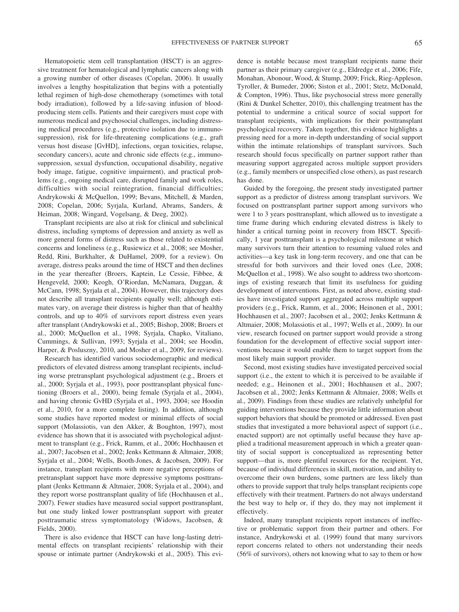Hematopoietic stem cell transplantation (HSCT) is an aggressive treatment for hematological and lymphatic cancers along with a growing number of other diseases (Copelan, 2006). It usually involves a lengthy hospitalization that begins with a potentially lethal regimen of high-dose chemotherapy (sometimes with total body irradiation), followed by a life-saving infusion of bloodproducing stem cells. Patients and their caregivers must cope with numerous medical and psychosocial challenges, including distressing medical procedures (e.g., protective isolation due to immunosuppression), risk for life-threatening complications (e.g., graft versus host disease [GvHD], infections, organ toxicities, relapse, secondary cancers), acute and chronic side effects (e.g., immunosuppression, sexual dysfunction, occupational disability, negative body image, fatigue, cognitive impairment), and practical problems (e.g., ongoing medical care, disrupted family and work roles, difficulties with social reintegration, financial difficulties; Andrykowski & McQuellon, 1999; Bevans, Mitchell, & Marden, 2008; Copelan, 2006; Syrjala, Kurland, Abrams, Sanders, & Heiman, 2008; Wingard, Vogelsang, & Deeg, 2002).

Transplant recipients are also at risk for clinical and subclinical distress, including symptoms of depression and anxiety as well as more general forms of distress such as those related to existential concerns and loneliness (e.g., Rusiewicz et al., 2008; see Mosher, Redd, Rini, Burkhalter, & DuHamel, 2009, for a review). On average, distress peaks around the time of HSCT and then declines in the year thereafter (Broers, Kaptein, Le Cessie, Fibbee, & Hengeveld, 2000; Keogh, O'Riordan, McNamara, Duggan, & McCann, 1998; Syrjala et al., 2004). However, this trajectory does not describe all transplant recipients equally well; although estimates vary, on average their distress is higher than that of healthy controls, and up to 40% of survivors report distress even years after transplant (Andrykowski et al., 2005; Bishop, 2008; Broers et al., 2000; McQuellon et al., 1998; Syrjala, Chapko, Vitaliano, Cummings, & Sullivan, 1993; Syrjala et al., 2004; see Hoodin, Harper, & Posluszny, 2010, and Mosher et al., 2009, for reviews).

Research has identified various sociodemographic and medical predictors of elevated distress among transplant recipients, including worse pretransplant psychological adjustment (e.g., Broers et al., 2000; Syrjala et al., 1993), poor posttransplant physical functioning (Broers et al., 2000), being female (Syrjala et al., 2004), and having chronic GvHD (Syrjala et al., 1993, 2004; see Hoodin et al., 2010, for a more complete listing). In addition, although some studies have reported modest or minimal effects of social support (Molassiotis, van den Akker, & Boughton, 1997), most evidence has shown that it is associated with psychological adjustment to transplant (e.g., Frick, Ramm, et al., 2006; Hochhausen et al., 2007; Jacobsen et al., 2002; Jenks Kettmann & Altmaier, 2008; Syrjala et al., 2004; Wells, Booth-Jones, & Jacobsen, 2009). For instance, transplant recipients with more negative perceptions of pretransplant support have more depressive symptoms posttransplant (Jenks Kettmann & Altmaier, 2008; Syrjala et al., 2004), and they report worse posttransplant quality of life (Hochhausen et al., 2007). Fewer studies have measured social support posttransplant, but one study linked lower posttransplant support with greater posttraumatic stress symptomatology (Widows, Jacobsen, & Fields, 2000).

There is also evidence that HSCT can have long-lasting detrimental effects on transplant recipients' relationship with their spouse or intimate partner (Andrykowski et al., 2005). This evidence is notable because most transplant recipients name their partner as their primary caregiver (e.g., Eldredge et al., 2006; Fife, Monahan, Abonour, Wood, & Stump, 2009; Frick, Rieg-Appleson, Tyroller, & Bumeder, 2006; Siston et al., 2001; Stetz, McDonald, & Compton, 1996). Thus, like psychosocial stress more generally (Rini & Dunkel Schetter, 2010), this challenging treatment has the potential to undermine a critical source of social support for transplant recipients, with implications for their posttransplant psychological recovery. Taken together, this evidence highlights a pressing need for a more in-depth understanding of social support within the intimate relationships of transplant survivors. Such research should focus specifically on partner support rather than measuring support aggregated across multiple support providers (e.g., family members or unspecified close others), as past research has done.

Guided by the foregoing, the present study investigated partner support as a predictor of distress among transplant survivors. We focused on posttransplant partner support among survivors who were 1 to 3 years posttransplant, which allowed us to investigate a time frame during which enduring elevated distress is likely to hinder a critical turning point in recovery from HSCT. Specifically, 1 year posttransplant is a psychological milestone at which many survivors turn their attention to resuming valued roles and activities—a key task in long-term recovery, and one that can be stressful for both survivors and their loved ones (Lee, 2008; McQuellon et al., 1998). We also sought to address two shortcomings of existing research that limit its usefulness for guiding development of interventions. First, as noted above, existing studies have investigated support aggregated across multiple support providers (e.g., Frick, Ramm, et al., 2006; Heinonen et al., 2001; Hochhausen et al., 2007; Jacobsen et al., 2002; Jenks Kettmann & Altmaier, 2008; Molassiotis et al., 1997; Wells et al., 2009). In our view, research focused on partner support would provide a strong foundation for the development of effective social support interventions because it would enable them to target support from the most likely main support provider.

Second, most existing studies have investigated perceived social support (i.e., the extent to which it is perceived to be available if needed; e.g., Heinonen et al., 2001; Hochhausen et al., 2007; Jacobsen et al., 2002; Jenks Kettmann & Altmaier, 2008; Wells et al., 2009). Findings from these studies are relatively unhelpful for guiding interventions because they provide little information about support behaviors that should be promoted or addressed. Even past studies that investigated a more behavioral aspect of support (i.e., enacted support) are not optimally useful because they have applied a traditional measurement approach in which a greater quantity of social support is conceptualized as representing better support—that is, more plentiful resources for the recipient. Yet, because of individual differences in skill, motivation, and ability to overcome their own burdens, some partners are less likely than others to provide support that truly helps transplant recipients cope effectively with their treatment. Partners do not always understand the best way to help or, if they do, they may not implement it effectively.

Indeed, many transplant recipients report instances of ineffective or problematic support from their partner and others. For instance, Andrykowski et al. (1999) found that many survivors report concerns related to others not understanding their needs (56% of survivors), others not knowing what to say to them or how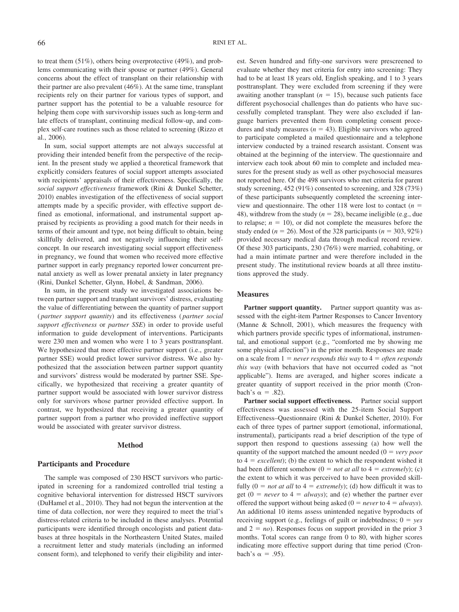to treat them (51%), others being overprotective (49%), and problems communicating with their spouse or partner (49%). General concerns about the effect of transplant on their relationship with their partner are also prevalent (46%). At the same time, transplant recipients rely on their partner for various types of support, and partner support has the potential to be a valuable resource for helping them cope with survivorship issues such as long-term and late effects of transplant, continuing medical follow-up, and complex self-care routines such as those related to screening (Rizzo et al., 2006).

In sum, social support attempts are not always successful at providing their intended benefit from the perspective of the recipient. In the present study we applied a theoretical framework that explicitly considers features of social support attempts associated with recipients' appraisals of their effectiveness. Specifically, the *social support effectiveness* framework (Rini & Dunkel Schetter, 2010) enables investigation of the effectiveness of social support attempts made by a specific provider, with effective support defined as emotional, informational, and instrumental support appraised by recipients as providing a good match for their needs in terms of their amount and type, not being difficult to obtain, being skillfully delivered, and not negatively influencing their selfconcept. In our research investigating social support effectiveness in pregnancy, we found that women who received more effective partner support in early pregnancy reported lower concurrent prenatal anxiety as well as lower prenatal anxiety in later pregnancy (Rini, Dunkel Schetter, Glynn, Hobel, & Sandman, 2006).

In sum, in the present study we investigated associations between partner support and transplant survivors' distress, evaluating the value of differentiating between the quantity of partner support ( *partner support quantity*) and its effectiveness ( *partner social support effectiveness* or *partner SSE*) in order to provide useful information to guide development of interventions. Participants were 230 men and women who were 1 to 3 years posttransplant. We hypothesized that more effective partner support (i.e., greater partner SSE) would predict lower survivor distress. We also hypothesized that the association between partner support quantity and survivors' distress would be moderated by partner SSE. Specifically, we hypothesized that receiving a greater quantity of partner support would be associated with lower survivor distress only for survivors whose partner provided effective support. In contrast, we hypothesized that receiving a greater quantity of partner support from a partner who provided ineffective support would be associated with greater survivor distress.

# **Method**

# **Participants and Procedure**

The sample was composed of 230 HSCT survivors who participated in screening for a randomized controlled trial testing a cognitive behavioral intervention for distressed HSCT survivors (DuHamel et al., 2010). They had not begun the intervention at the time of data collection, nor were they required to meet the trial's distress-related criteria to be included in these analyses. Potential participants were identified through oncologists and patient databases at three hospitals in the Northeastern United States, mailed a recruitment letter and study materials (including an informed consent form), and telephoned to verify their eligibility and interest. Seven hundred and fifty-one survivors were prescreened to evaluate whether they met criteria for entry into screening: They had to be at least 18 years old, English speaking, and 1 to 3 years posttransplant. They were excluded from screening if they were awaiting another transplant  $(n = 15)$ , because such patients face different psychosocial challenges than do patients who have successfully completed transplant. They were also excluded if language barriers prevented them from completing consent procedures and study measures  $(n = 43)$ . Eligible survivors who agreed to participate completed a mailed questionnaire and a telephone interview conducted by a trained research assistant. Consent was obtained at the beginning of the interview. The questionnaire and interview each took about 60 min to complete and included measures for the present study as well as other psychosocial measures not reported here. Of the 498 survivors who met criteria for parent study screening, 452 (91%) consented to screening, and 328 (73%) of these participants subsequently completed the screening interview and questionnaire. The other 118 were lost to contact  $(n =$ 48), withdrew from the study  $(n = 28)$ , became ineligible (e.g., due to relapse;  $n = 10$ ), or did not complete the measures before the study ended ( $n = 26$ ). Most of the 328 participants ( $n = 303, 92\%$ ) provided necessary medical data through medical record review. Of these 303 participants, 230 (76%) were married, cohabiting, or had a main intimate partner and were therefore included in the present study. The institutional review boards at all three institutions approved the study.

# **Measures**

**Partner support quantity.** Partner support quantity was assessed with the eight-item Partner Responses to Cancer Inventory (Manne & Schnoll, 2001), which measures the frequency with which partners provide specific types of informational, instrumental, and emotional support (e.g., "comforted me by showing me some physical affection") in the prior month. Responses are made on a scale from  $1 = never$  *responds this way* to  $4 =$  *often responds this way* (with behaviors that have not occurred coded as "not applicable"). Items are averaged, and higher scores indicate a greater quantity of support received in the prior month (Cronbach's  $\alpha = .82$ ).

Partner social support effectiveness. Partner social support effectiveness was assessed with the 25-item Social Support Effectiveness–Questionnaire (Rini & Dunkel Schetter, 2010). For each of three types of partner support (emotional, informational, instrumental), participants read a brief description of the type of support then respond to questions assessing (a) how well the quantity of the support matched the amount needed  $(0 = \text{very poor})$ to  $4 = excellent$ ; (b) the extent to which the respondent wished it had been different somehow  $(0 = not at all to 4 = extremely)$ ; (c) the extent to which it was perceived to have been provided skillfully  $(0 = not at all to 4 = extremely)$ ; (d) how difficult it was to get  $(0 = never to 4 = always)$ ; and (e) whether the partner ever offered the support without being asked  $(0 = never to 4 = always)$ . An additional 10 items assess unintended negative byproducts of receiving support (e.g., feelings of guilt or indebtedness;  $0 = yes$ and  $2 = no$ ). Responses focus on support provided in the prior 3 months. Total scores can range from 0 to 80, with higher scores indicating more effective support during that time period (Cronbach's  $\alpha = .95$ ).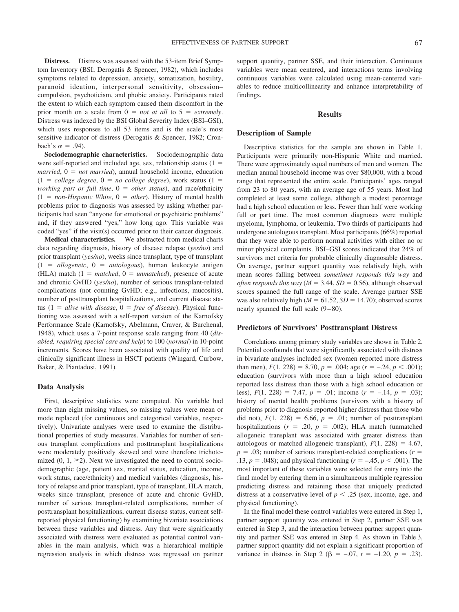**Distress.** Distress was assessed with the 53-item Brief Symptom Inventory (BSI; Derogatis & Spencer, 1982), which includes symptoms related to depression, anxiety, somatization, hostility, paranoid ideation, interpersonal sensitivity, obsession– compulsion, psychoticism, and phobic anxiety. Participants rated the extent to which each symptom caused them discomfort in the prior month on a scale from  $0 = not$  *at all* to  $5 = extremely$ . Distress was indexed by the BSI Global Severity Index (BSI–GSI), which uses responses to all 53 items and is the scale's most sensitive indicator of distress (Derogatis & Spencer, 1982; Cronbach's  $\alpha = .94$ ).

**Sociodemographic characteristics.** Sociodemographic data were self-reported and included age, sex, relationship status  $(1 =$ *married*,  $0 = not married$ , annual household income, education  $(1 = college degree, 0 = no college degree), work status (1 =$ *working part or full time,*  $0 = other status$ *, and race/ethnicity*  $(1 = non-Hispanic White, 0 = other)$ . History of mental health problems prior to diagnosis was assessed by asking whether participants had seen "anyone for emotional or psychiatric problems" and, if they answered "yes," how long ago. This variable was coded "yes" if the visit(s) occurred prior to their cancer diagnosis.

**Medical characteristics.** We abstracted from medical charts data regarding diagnosis, history of disease relapse (*yes/no*) and prior transplant (*yes/no*), weeks since transplant, type of transplant  $(1 = \text{allogenetic}, 0 = \text{autologous})$ , human leukocyte antigen (HLA) match  $(1 = matched, 0 = unmatched)$ , presence of acute and chronic GvHD (*yes/no*), number of serious transplant-related complications (not counting GvHD; e.g., infections, mucositis), number of posttransplant hospitalizations, and current disease status  $(1 = alive with disease, 0 = free of disease)$ . Physical functioning was assessed with a self-report version of the Karnofsky Performance Scale (Karnofsky, Abelmann, Craver, & Burchenal, 1948), which uses a 7-point response scale ranging from 40 (*disabled, requiring special care and help*) to 100 (*normal*) in 10-point increments. Scores have been associated with quality of life and clinically significant illness in HSCT patients (Wingard, Curbow, Baker, & Piantadosi, 1991).

# **Data Analysis**

First, descriptive statistics were computed. No variable had more than eight missing values, so missing values were mean or mode replaced (for continuous and categorical variables, respectively). Univariate analyses were used to examine the distributional properties of study measures. Variables for number of serious transplant complications and posttransplant hospitalizations were moderately positively skewed and were therefore trichotomized  $(0, 1, \ge 2)$ . Next we investigated the need to control sociodemographic (age, patient sex, marital status, education, income, work status, race/ethnicity) and medical variables (diagnosis, history of relapse and prior transplant, type of transplant, HLA match, weeks since transplant, presence of acute and chronic GvHD, number of serious transplant-related complications, number of posttransplant hospitalizations, current disease status, current selfreported physical functioning) by examining bivariate associations between these variables and distress. Any that were significantly associated with distress were evaluated as potential control variables in the main analysis, which was a hierarchical multiple regression analysis in which distress was regressed on partner support quantity, partner SSE, and their interaction. Continuous variables were mean centered, and interactions terms involving continuous variables were calculated using mean-centered variables to reduce multicollinearity and enhance interpretability of findings.

# **Results**

# **Description of Sample**

Descriptive statistics for the sample are shown in Table 1. Participants were primarily non-Hispanic White and married. There were approximately equal numbers of men and women. The median annual household income was over \$80,000, with a broad range that represented the entire scale. Participants' ages ranged from 23 to 80 years, with an average age of 55 years. Most had completed at least some college, although a modest percentage had a high school education or less. Fewer than half were working full or part time. The most common diagnoses were multiple myeloma, lymphoma, or leukemia. Two thirds of participants had undergone autologous transplant. Most participants (66%) reported that they were able to perform normal activities with either no or minor physical complaints. BSI–GSI scores indicated that 24% of survivors met criteria for probable clinically diagnosable distress. On average, partner support quantity was relatively high, with mean scores falling between *sometimes responds this way* and *often responds this way* ( $M = 3.44$ ,  $SD = 0.56$ ), although observed scores spanned the full range of the scale. Average partner SSE was also relatively high ( $M = 61.52$ ,  $SD = 14.70$ ); observed scores nearly spanned the full scale  $(9-80)$ .

#### **Predictors of Survivors' Posttransplant Distress**

Correlations among primary study variables are shown in Table 2. Potential confounds that were significantly associated with distress in bivariate analyses included sex (women reported more distress than men),  $F(1, 228) = 8.70$ ,  $p = .004$ ; age ( $r = -.24$ ,  $p < .001$ ); education (survivors with more than a high school education reported less distress than those with a high school education or less),  $F(1, 228) = 7.47$ ,  $p = .01$ ; income ( $r = -.14$ ,  $p = .03$ ); history of mental health problems (survivors with a history of problems prior to diagnosis reported higher distress than those who did not),  $F(1, 228) = 6.66$ ,  $p = .01$ ; number of posttransplant hospitalizations  $(r = .20, p = .002)$ ; HLA match (unmatched allogeneic transplant was associated with greater distress than autologous or matched allogeneic transplant),  $F(1, 228) = 4.67$ ,  $p = .03$ ; number of serious transplant-related complications ( $r =$ .13,  $p = .048$ ); and physical functioning ( $r = -.45$ ,  $p < .001$ ). The most important of these variables were selected for entry into the final model by entering them in a simultaneous multiple regression predicting distress and retaining those that uniquely predicted distress at a conservative level of  $p < .25$  (sex, income, age, and physical functioning).

In the final model these control variables were entered in Step 1, partner support quantity was entered in Step 2, partner SSE was entered in Step 3, and the interaction between partner support quantity and partner SSE was entered in Step 4. As shown in Table 3, partner support quantity did not explain a significant proportion of variance in distress in Step 2 ( $\beta$  = -.07,  $t$  = -1.20,  $p$  = .23).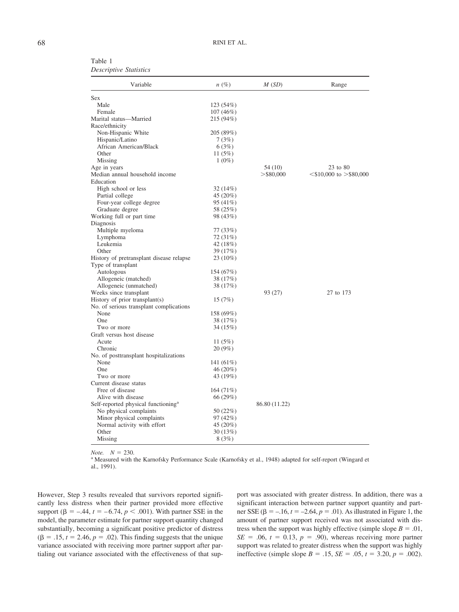| Table 1                       |  |
|-------------------------------|--|
| <b>Descriptive Statistics</b> |  |

| Variable                                        | $n(\%)$   | M(SD)         | Range                           |
|-------------------------------------------------|-----------|---------------|---------------------------------|
| Sex                                             |           |               |                                 |
| Male                                            | 123 (54%) |               |                                 |
| Female                                          | 107(46%)  |               |                                 |
| Marital status-Married                          | 215 (94%) |               |                                 |
| Race/ethnicity                                  |           |               |                                 |
| Non-Hispanic White                              | 205 (89%) |               |                                 |
| Hispanic/Latino                                 | 7(3%)     |               |                                 |
| African American/Black                          | 6(3%)     |               |                                 |
| Other                                           | 11 $(5%)$ |               |                                 |
| Missing                                         | $1(0\%)$  |               |                                 |
| Age in years                                    |           | 54 (10)       | 23 to 80                        |
| Median annual household income                  |           | $>$ \$80,000  | $\leq$ \$10,000 to $>$ \$80,000 |
| Education                                       |           |               |                                 |
| High school or less                             | 32 (14%)  |               |                                 |
| Partial college                                 | 45 (20%)  |               |                                 |
| Four-year college degree                        | 95 (41%)  |               |                                 |
| Graduate degree                                 | 58 (25%)  |               |                                 |
| Working full or part time                       | 98 (43%)  |               |                                 |
| Diagnosis                                       |           |               |                                 |
| Multiple myeloma                                | 77 (33%)  |               |                                 |
| Lymphoma                                        | 72 (31%)  |               |                                 |
| Leukemia                                        | 42 (18%)  |               |                                 |
| Other                                           | 39 (17%)  |               |                                 |
| History of pretransplant disease relapse        | 23 (10%)  |               |                                 |
| Type of transplant                              |           |               |                                 |
| Autologous                                      | 154 (67%) |               |                                 |
| Allogeneic (matched)                            | 38 (17%)  |               |                                 |
| Allogeneic (unmatched)                          | 38 (17%)  |               |                                 |
| Weeks since transplant                          |           | 93 (27)       | 27 to 173                       |
| History of prior transplant(s)                  | 15(7%)    |               |                                 |
| No. of serious transplant complications         |           |               |                                 |
| None                                            | 158 (69%) |               |                                 |
| One                                             | 38 (17%)  |               |                                 |
| Two or more                                     | 34 (15%)  |               |                                 |
| Graft versus host disease                       |           |               |                                 |
| Acute                                           | 11 $(5%)$ |               |                                 |
| Chronic                                         | 20 (9%)   |               |                                 |
| No. of posttransplant hospitalizations          |           |               |                                 |
| None                                            | 141 (61%) |               |                                 |
| One                                             | 46 (20%)  |               |                                 |
| Two or more                                     | 43 (19%)  |               |                                 |
| Current disease status                          |           |               |                                 |
| Free of disease                                 | 164 (71%) |               |                                 |
| Alive with disease                              | 66 (29%)  |               |                                 |
| Self-reported physical functioning <sup>a</sup> |           | 86.80 (11.22) |                                 |
| No physical complaints                          | 50 (22%)  |               |                                 |
| Minor physical complaints                       | 97 (42%)  |               |                                 |
| Normal activity with effort                     | 45 (20%)  |               |                                 |
| Other                                           | 30 (13%)  |               |                                 |
| Missing                                         | 8(3%)     |               |                                 |

*Note.*  $N = 230$ .<br><sup>a</sup> Measured with the Karnofsky Performance Scale (Karnofsky et al., 1948) adapted for self-report (Wingard et al., 1991).

However, Step 3 results revealed that survivors reported significantly less distress when their partner provided more effective support ( $\beta = -.44$ ,  $t = -6.74$ ,  $p < .001$ ). With partner SSE in the model, the parameter estimate for partner support quantity changed substantially, becoming a significant positive predictor of distress  $(\beta = .15, t = 2.46, p = .02)$ . This finding suggests that the unique variance associated with receiving more partner support after partialing out variance associated with the effectiveness of that support was associated with greater distress. In addition, there was a significant interaction between partner support quantity and partner SSE ( $\beta$  = -.16,  $t$  = -2.64,  $p$  = .01). As illustrated in Figure 1, the amount of partner support received was not associated with distress when the support was highly effective (simple slope  $B = .01$ ,  $SE = .06$ ,  $t = 0.13$ ,  $p = .90$ ), whereas receiving more partner support was related to greater distress when the support was highly ineffective (simple slope *B* = .15, *SE* = .05, *t* = 3.20, *p* = .002).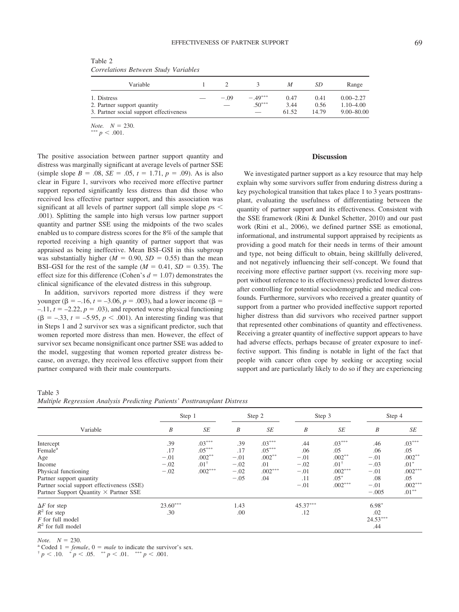| Table 2                                     |  |  |
|---------------------------------------------|--|--|
| <b>Correlations Between Study Variables</b> |  |  |

| Variable                                   |               |                       | М            | SD.          | Range                          |
|--------------------------------------------|---------------|-----------------------|--------------|--------------|--------------------------------|
| 1. Distress<br>2. Partner support quantity | $-0.09$<br>__ | $-.49***$<br>$.50***$ | 0.47<br>3.44 | 0.41<br>0.56 | $0.00 - 2.27$<br>$1.10 - 4.00$ |
| 3. Partner social support effectiveness    |               |                       | 61.52        | 14.79        | $9.00 - 80.00$                 |

*Note.*  $N = 230$ .

 $T<sub>1</sub>$ 

\*  $p < .001$ .

The positive association between partner support quantity and distress was marginally significant at average levels of partner SSE (simple slope  $B = .08$ ,  $SE = .05$ ,  $t = 1.71$ ,  $p = .09$ ). As is also clear in Figure 1, survivors who received more effective partner support reported significantly less distress than did those who received less effective partner support, and this association was significant at all levels of partner support (all simple slope  $ps <$ .001). Splitting the sample into high versus low partner support quantity and partner SSE using the midpoints of the two scales enabled us to compare distress scores for the 8% of the sample that reported receiving a high quantity of partner support that was appraised as being ineffective. Mean BSI–GSI in this subgroup was substantially higher ( $M = 0.90$ ,  $SD = 0.55$ ) than the mean BSI–GSI for the rest of the sample  $(M = 0.41, SD = 0.35)$ . The effect size for this difference (Cohen's  $d = 1.07$ ) demonstrates the clinical significance of the elevated distress in this subgroup.

In addition, survivors reported more distress if they were younger ( $\beta$  = -.16,  $t$  = -3.06,  $p$  = .003), had a lower income ( $\beta$  =  $-11$ ,  $t = -2.22$ ,  $p = .03$ ), and reported worse physical functioning  $(\beta = -.33, t = -5.95, p < .001)$ . An interesting finding was that in Steps 1 and 2 survivor sex was a significant predictor, such that women reported more distress than men. However, the effect of survivor sex became nonsignificant once partner SSE was added to the model, suggesting that women reported greater distress because, on average, they received less effective support from their partner compared with their male counterparts.

# **Discussion**

We investigated partner support as a key resource that may help explain why some survivors suffer from enduring distress during a key psychological transition that takes place 1 to 3 years posttransplant, evaluating the usefulness of differentiating between the quantity of partner support and its effectiveness. Consistent with the SSE framework (Rini & Dunkel Schetter, 2010) and our past work (Rini et al., 2006), we defined partner SSE as emotional, informational, and instrumental support appraised by recipients as providing a good match for their needs in terms of their amount and type, not being difficult to obtain, being skillfully delivered, and not negatively influencing their self-concept. We found that receiving more effective partner support (vs. receiving more support without reference to its effectiveness) predicted lower distress after controlling for potential sociodemographic and medical confounds. Furthermore, survivors who received a greater quantity of support from a partner who provided ineffective support reported higher distress than did survivors who received partner support that represented other combinations of quantity and effectiveness. Receiving a greater quantity of ineffective support appears to have had adverse effects, perhaps because of greater exposure to ineffective support. This finding is notable in light of the fact that people with cancer often cope by seeking or accepting social support and are particularly likely to do so if they are experiencing

#### Table 3

*Multiple Regression Analysis Predicting Patients' Posttransplant Distress*

| Variable                                      | Step 1     |           | Step 2 |           | Step 3     |           | Step 4     |           |
|-----------------------------------------------|------------|-----------|--------|-----------|------------|-----------|------------|-----------|
|                                               | B          | <b>SE</b> | B      | <b>SE</b> | B          | SE        | B          | SE        |
| Intercept                                     | .39        | $.03***$  | .39    | $.03***$  | .44        | $.03***$  | .46        | $.03***$  |
| Female <sup>a</sup>                           | .17        | $.05***$  | .17    | $.05***$  | .06        | .05       | .06        | .05       |
| Age                                           | $-.01$     | $.002***$ | $-.01$ | $.002***$ | $-.01$     | $.002***$ | $-.01$     | $.002***$ |
| Income                                        | $-.02$     | $.01^{+}$ | $-.02$ | .01       | $-.02$     | $.01^+$   | $-.03$     | $.01*$    |
| Physical functioning                          | $-.02$     | $.002***$ | $-.02$ | $.002***$ | $-.01$     | $.002***$ | $-.01$     | $.002***$ |
| Partner support quantity                      |            |           | $-.05$ | .04       | .11        | $.05*$    | .08        | .05       |
| Partner social support effectiveness (SSE)    |            |           |        |           | $-.01$     | $.002***$ | $-.01$     | $.002***$ |
| Partner Support Quantity $\times$ Partner SSE |            |           |        |           |            |           | $-.005$    | $.01***$  |
| $\Delta F$ for step                           | $23.60***$ |           | 1.43   |           | $45.37***$ |           | $6.98*$    |           |
| $R^2$ for step                                | .30        |           | .00    |           | .12        |           | .02        |           |
| $F$ for full model                            |            |           |        |           |            |           | $24.53***$ |           |
| $R^2$ for full model                          |            |           |        |           |            |           | .44        |           |

*Note.*  $N = 230$ .<br><sup>a</sup> Coded 1 *= female*, 0 *= male* to indicate the survivor's sex.

 $<$  .10.  $\sqrt[p]{p}$   $<$  .05.  $\sqrt[p]{p}$   $<$  .01.  $\sqrt[p]{p}$   $<$  .001.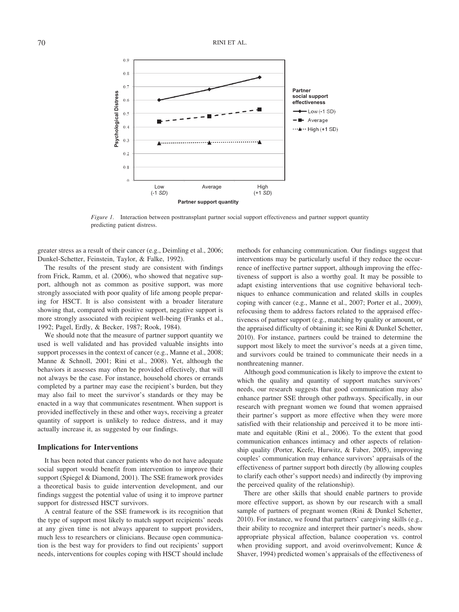

*Figure 1.* Interaction between posttransplant partner social support effectiveness and partner support quantity predicting patient distress.

greater stress as a result of their cancer (e.g., Deimling et al., 2006; Dunkel-Schetter, Feinstein, Taylor, & Falke, 1992).

The results of the present study are consistent with findings from Frick, Ramm, et al. (2006), who showed that negative support, although not as common as positive support, was more strongly associated with poor quality of life among people preparing for HSCT. It is also consistent with a broader literature showing that, compared with positive support, negative support is more strongly associated with recipient well-being (Franks et al., 1992; Pagel, Erdly, & Becker, 1987; Rook, 1984).

We should note that the measure of partner support quantity we used is well validated and has provided valuable insights into support processes in the context of cancer (e.g., Manne et al., 2008; Manne & Schnoll, 2001; Rini et al., 2008). Yet, although the behaviors it assesses may often be provided effectively, that will not always be the case. For instance, household chores or errands completed by a partner may ease the recipient's burden, but they may also fail to meet the survivor's standards or they may be enacted in a way that communicates resentment. When support is provided ineffectively in these and other ways, receiving a greater quantity of support is unlikely to reduce distress, and it may actually increase it, as suggested by our findings.

# **Implications for Interventions**

It has been noted that cancer patients who do not have adequate social support would benefit from intervention to improve their support (Spiegel & Diamond, 2001). The SSE framework provides a theoretical basis to guide intervention development, and our findings suggest the potential value of using it to improve partner support for distressed HSCT survivors.

A central feature of the SSE framework is its recognition that the type of support most likely to match support recipients' needs at any given time is not always apparent to support providers, much less to researchers or clinicians. Because open communication is the best way for providers to find out recipients' support needs, interventions for couples coping with HSCT should include methods for enhancing communication. Our findings suggest that interventions may be particularly useful if they reduce the occurrence of ineffective partner support, although improving the effectiveness of support is also a worthy goal. It may be possible to adapt existing interventions that use cognitive behavioral techniques to enhance communication and related skills in couples coping with cancer (e.g., Manne et al., 2007; Porter et al., 2009), refocusing them to address factors related to the appraised effectiveness of partner support (e.g., matching by quality or amount, or the appraised difficulty of obtaining it; see Rini & Dunkel Schetter, 2010). For instance, partners could be trained to determine the support most likely to meet the survivor's needs at a given time, and survivors could be trained to communicate their needs in a nonthreatening manner.

Although good communication is likely to improve the extent to which the quality and quantity of support matches survivors' needs, our research suggests that good communication may also enhance partner SSE through other pathways. Specifically, in our research with pregnant women we found that women appraised their partner's support as more effective when they were more satisfied with their relationship and perceived it to be more intimate and equitable (Rini et al., 2006). To the extent that good communication enhances intimacy and other aspects of relationship quality (Porter, Keefe, Hurwitz, & Faber, 2005), improving couples' communication may enhance survivors' appraisals of the effectiveness of partner support both directly (by allowing couples to clarify each other's support needs) and indirectly (by improving the perceived quality of the relationship).

There are other skills that should enable partners to provide more effective support, as shown by our research with a small sample of partners of pregnant women (Rini & Dunkel Schetter, 2010). For instance, we found that partners' caregiving skills (e.g., their ability to recognize and interpret their partner's needs, show appropriate physical affection, balance cooperation vs. control when providing support, and avoid overinvolvement; Kunce & Shaver, 1994) predicted women's appraisals of the effectiveness of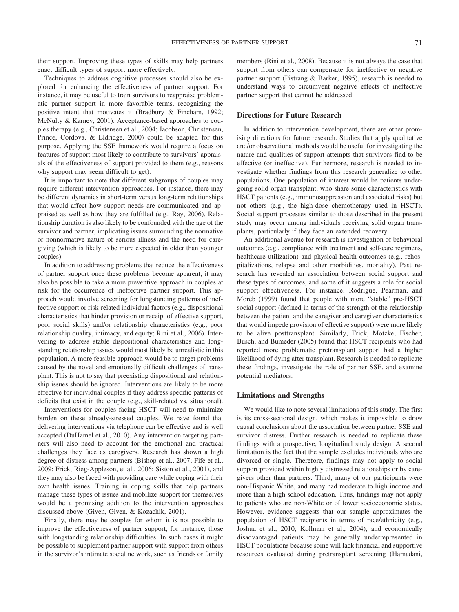their support. Improving these types of skills may help partners enact difficult types of support more effectively.

Techniques to address cognitive processes should also be explored for enhancing the effectiveness of partner support. For instance, it may be useful to train survivors to reappraise problematic partner support in more favorable terms, recognizing the positive intent that motivates it (Bradbury & Fincham, 1992; McNulty & Karney, 2001). Acceptance-based approaches to couples therapy (e.g., Christensen et al., 2004; Jacobson, Christensen, Prince, Cordova, & Eldridge, 2000) could be adapted for this purpose. Applying the SSE framework would require a focus on features of support most likely to contribute to survivors' appraisals of the effectiveness of support provided to them (e.g., reasons why support may seem difficult to get).

It is important to note that different subgroups of couples may require different intervention approaches. For instance, there may be different dynamics in short-term versus long-term relationships that would affect how support needs are communicated and appraised as well as how they are fulfilled (e.g., Ray, 2006). Relationship duration is also likely to be confounded with the age of the survivor and partner, implicating issues surrounding the normative or nonnormative nature of serious illness and the need for caregiving (which is likely to be more expected in older than younger couples).

In addition to addressing problems that reduce the effectiveness of partner support once these problems become apparent, it may also be possible to take a more preventive approach in couples at risk for the occurrence of ineffective partner support. This approach would involve screening for longstanding patterns of ineffective support or risk-related individual factors (e.g., dispositional characteristics that hinder provision or receipt of effective support, poor social skills) and/or relationship characteristics (e.g., poor relationship quality, intimacy, and equity; Rini et al., 2006). Intervening to address stable dispositional characteristics and longstanding relationship issues would most likely be unrealistic in this population. A more feasible approach would be to target problems caused by the novel and emotionally difficult challenges of transplant. This is not to say that preexisting dispositional and relationship issues should be ignored. Interventions are likely to be more effective for individual couples if they address specific patterns of deficits that exist in the couple (e.g., skill-related vs. situational).

Interventions for couples facing HSCT will need to minimize burden on these already-stressed couples. We have found that delivering interventions via telephone can be effective and is well accepted (DuHamel et al., 2010). Any intervention targeting partners will also need to account for the emotional and practical challenges they face as caregivers. Research has shown a high degree of distress among partners (Bishop et al., 2007; Fife et al., 2009; Frick, Rieg-Appleson, et al., 2006; Siston et al., 2001), and they may also be faced with providing care while coping with their own health issues. Training in coping skills that help partners manage these types of issues and mobilize support for themselves would be a promising addition to the intervention approaches discussed above (Given, Given, & Kozachik, 2001).

Finally, there may be couples for whom it is not possible to improve the effectiveness of partner support, for instance, those with longstanding relationship difficulties. In such cases it might be possible to supplement partner support with support from others in the survivor's intimate social network, such as friends or family members (Rini et al., 2008). Because it is not always the case that support from others can compensate for ineffective or negative partner support (Pistrang & Barker, 1995), research is needed to understand ways to circumvent negative effects of ineffective partner support that cannot be addressed.

# **Directions for Future Research**

In addition to intervention development, there are other promising directions for future research. Studies that apply qualitative and/or observational methods would be useful for investigating the nature and qualities of support attempts that survivors find to be effective (or ineffective). Furthermore, research is needed to investigate whether findings from this research generalize to other populations. One population of interest would be patients undergoing solid organ transplant, who share some characteristics with HSCT patients (e.g., immunosuppression and associated risks) but not others (e.g., the high-dose chemotherapy used in HSCT). Social support processes similar to those described in the present study may occur among individuals receiving solid organ transplants, particularly if they face an extended recovery.

An additional avenue for research is investigation of behavioral outcomes (e.g., compliance with treatment and self-care regimens, healthcare utilization) and physical health outcomes (e.g., rehospitalizations, relapse and other morbidities, mortality). Past research has revealed an association between social support and these types of outcomes, and some of it suggests a role for social support effectiveness. For instance, Rodrigue, Pearman, and Moreb (1999) found that people with more "stable" pre-HSCT social support (defined in terms of the strength of the relationship between the patient and the caregiver and caregiver characteristics that would impede provision of effective support) were more likely to be alive posttransplant. Similarly, Frick, Motzke, Fischer, Busch, and Bumeder (2005) found that HSCT recipients who had reported more problematic pretransplant support had a higher likelihood of dying after transplant. Research is needed to replicate these findings, investigate the role of partner SSE, and examine potential mediators.

# **Limitations and Strengths**

We would like to note several limitations of this study. The first is its cross-sectional design, which makes it impossible to draw causal conclusions about the association between partner SSE and survivor distress. Further research is needed to replicate these findings with a prospective, longitudinal study design. A second limitation is the fact that the sample excludes individuals who are divorced or single. Therefore, findings may not apply to social support provided within highly distressed relationships or by caregivers other than partners. Third, many of our participants were non-Hispanic White, and many had moderate to high income and more than a high school education. Thus, findings may not apply to patients who are non-White or of lower socioeconomic status. However, evidence suggests that our sample approximates the population of HSCT recipients in terms of race/ethnicity (e.g., Joshua et al., 2010; Kollman et al., 2004), and economically disadvantaged patients may be generally underrepresented in HSCT populations because some will lack financial and supportive resources evaluated during pretransplant screening (Hamadani,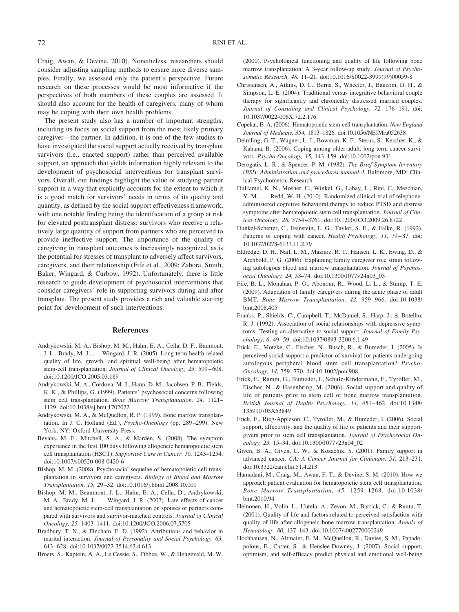Craig, Awan, & Devine, 2010). Nonetheless, researchers should consider adjusting sampling methods to ensure more diverse samples. Finally, we assessed only the patient's perspective. Future research on these processes would be most informative if the perspectives of both members of these couples are assessed. It should also account for the health of caregivers, many of whom may be coping with their own health problems.

The present study also has a number of important strengths, including its focus on social support from the most likely primary caregiver—the partner. In addition, it is one of the few studies to have investigated the social support actually received by transplant survivors (i.e., enacted support) rather than perceived available support, an approach that yields information highly relevant to the development of psychosocial interventions for transplant survivors. Overall, our findings highlight the value of studying partner support in a way that explicitly accounts for the extent to which it is a good match for survivors' needs in terms of its quality and quantity, as defined by the social support effectiveness framework, with one notable finding being the identification of a group at risk for elevated posttransplant distress: survivors who receive a relatively large quantity of support from partners who are perceived to provide ineffective support. The importance of the quality of caregiving in transplant outcomes is increasingly recognized, as is the potential for stresses of transplant to adversely affect survivors, caregivers, and their relationship (Fife et al., 2009; Zabora, Smith, Baker, Wingard, & Curbow, 1992). Unfortunately, there is little research to guide development of psychosocial interventions that consider caregivers' role in supporting survivors during and after transplant. The present study provides a rich and valuable starting point for development of such interventions.

# **References**

- Andrykowski, M. A., Bishop, M. M., Hahn, E. A., Cella, D. F., Baumont, J. L., Brady, M. J.,... Wingard, J. R. (2005). Long-term health-related quality of life, growth, and spiritual well-being after hematopoietic stem-cell transplantation. *Journal of Clinical Oncology*, 23, 599-608. doi:10.1200/JCO.2005.03.189
- Andrykowski, M. A., Cordova, M. J., Hann, D. M., Jacobsen, P. B., Fields, K. K., & Phillips, G. (1999). Patients' psychosocial concerns following stem cell transplantation. *Bone Marrow Transplantation, 24,* 1121– 1129. doi:10.1038/sj.bmt.1702022
- Andrykowski, M. A., & McQuellon, R. P. (1999). Bone marrow transplantation. In J. C. Holland (Ed.), *Psycho-Oncology* (pp. 289 –299). New York, NY: Oxford University Press.
- Bevans, M. F., Mitchell, S. A., & Marden, S. (2008). The symptom experience in the first 100 days following allogeneic hematopoietic stem cell transplantation (HSCT). *Supportive Care in Cancer, 16,* 1243–1254. doi:10.1007/s00520-008-0420-6
- Bishop, M. M. (2008). Psychosocial sequelae of hematopoietic cell transplantation in survivors and caregivers. *Biology of Blood and Marrow Transplantation, 15,* 29 –32. doi:10.1016/j.bbmt.2008.10.001
- Bishop, M. M., Beaumont, J. L., Hahn, E. A., Cella, D., Andrykowski, M. A., Brady, M. J.,... Wingard, J. R. (2007). Late effects of cancer and hematopoietic stem-cell transplantation on spouses or partners compared with survivors and survivor-matched controls. *Journal of Clinical Oncology, 25,* 1403–1411. doi:10.1200/JCO.2006.07.5705
- Bradbury, T. N., & Fincham, F. D. (1992). Attributions and behavior in marital interaction. *Journal of Personality and Social Psychology, 63,* 613– 628. doi:10.1037/0022-3514.63.4.613

Broers, S., Kaptein, A. A., Le Cessie, S., Fibbee, W., & Hengeveld, M. W.

(2000). Psychological functioning and quality of life following bone marrow transplantation: A 3-year follow-up study. *Journal of Psychosomatic Research, 48,* 11–21. doi:10.1016/S0022-3999(99)00059-8

- Christensen, A., Atkins, D. C., Berns, S., Wheeler, J., Baucom, D. H., & Simpson, L. E. (2004). Traditional versus integrative behavioral couple therapy for significantly and chronically distressed married couples. Journal of Consulting and Clinical Psychology, 72, 176-191. doi: 10.1037/0022-006X.72.2.176
- Copelan, E. A. (2006). Hematopoietic stem-cell transplantation. *New England Journal of Medicine, 354,* 1813–1826. doi:10.1056/NEJMra052638
- Deimling, G. T., Wagner, L. J., Bowman, K. F., Sterns, S., Kercher, K., & Kahana, B. (2006). Coping among older-adult, long-term cancer survivors. *Psycho-Oncology, 15,* 143–159. doi:10.1002/pon.931
- Derogatis, L. R., & Spencer, P. M. (1982). *The Brief Symptom Inventory* (*BSI*)*: Administration and procedures manual–I.* Baltimore, MD: Clinical Psychometric Research.
- DuHamel, K. N., Mosher, C., Winkel, G., Labay, L., Rini, C., Meschian, Y. M., . . . Redd, W. H. (2010). Randomized clinical trial of telephoneadministered cognitive behavioral therapy to reduce PTSD and distress symptoms after hematopoietic stem cell transplantation. *Journal of Clinical Oncology, 28,* 3754 –3761. doi:10.1200/JCO.2009.26.8722
- Dunkel-Schetter, C., Feinstein, L. G., Taylor, S. E., & Falke, R. (1992). Patterns of coping with cancer. *Health Psychology, 11, 79-87*. doi: 10.1037/0278-6133.11.2.79
- Eldredge, D. H., Nail, L. M., Maziarz, R. T., Hansen, L. K., Ewing, D., & Archbold, P. G. (2006). Explaining family caregiver role strain following autologous blood and marrow transplantation. *Journal of Psychosocial Oncology, 24,* 53–74. doi:10.1300/J077v24n03\_03
- Fife, B. L., Monahan, P. O., Abonour, R., Wood, L. L., & Stump, T. E. (2009). Adaptation of family caregivers during the acute phase of adult BMT. *Bone Marrow Transplantation, 43,* 959 –966. doi:10.1038/ bmt.2008.405
- Franks, P., Shields, C., Campbell, T., McDaniel, S., Harp, J., & Botelho, R. J. (1992). Association of social relationships with depressive symptoms: Testing an alternative to social support. *Journal of Family Psychology, 6,* 49 –59. doi:10.1037/0893-3200.6.1.49
- Frick, E., Motzke, C., Fischer, N., Busch, R., & Bumeder, I. (2005). Is perceived social support a predictor of survival for patients undergoing autologous peripheral blood stem cell transplantation? *Psycho-Oncology, 14,* 759 –770. doi:10.1002/pon.908
- Frick, E., Ramm, G., Bumeder, I., Schulz-Kindermann, F., Tyroller, M., Fischer, N., & Hasenbring, M. (2006). Social support and quality of life of patients prior to stem cell or bone marrow transplantation. *British Journal of Health Psychology, 11,* 451– 462. doi:10.1348/ 135910705X53849
- Frick, E., Rieg-Appleson, C., Tyroller, M., & Bumeder, I. (2006). Social support, affectivity, and the quality of life of patients and their supportgivers prior to stem cell transplantation. *Journal of Psychosocial Oncology, 23,* 15–34. doi:10.1300/J077v23n04\_02
- Given, B. A., Given, C. W., & Kozachik, S. (2001). Family support in advanced cancer. *CA: A Cancer Journal for Clinicians, 51,* 213–231. doi:10.3322/canjclin.51.4.213
- Hamadani, M., Craig, M., Awan, F. T., & Devine, S. M. (2010). How we approach patient evaluation for hematopoietic stem cell transplantation. *Bone Marrow Transplantation, 45,* 1259 –1268. doi:10.1038/ bmt.2010.94
- Heinonen, H., Volin, L., Uutela, A., Zevon, M., Barrick, C., & Ruutu, T. (2001). Quality of life and factors related to perceived satisfaction with quality of life after allogeneic bone marrow transplantation. *Annals of Hematology, 80,* 137–143. doi:10.1007/s002770000249
- Hochhausen, N., Altmaier, E. M., McQuellon, R., Davies, S. M., Papadopolous, E., Carter, S., & Henslee-Downey, J. (2007). Social support, optimism, and self-efficacy predict physical and emotional well-being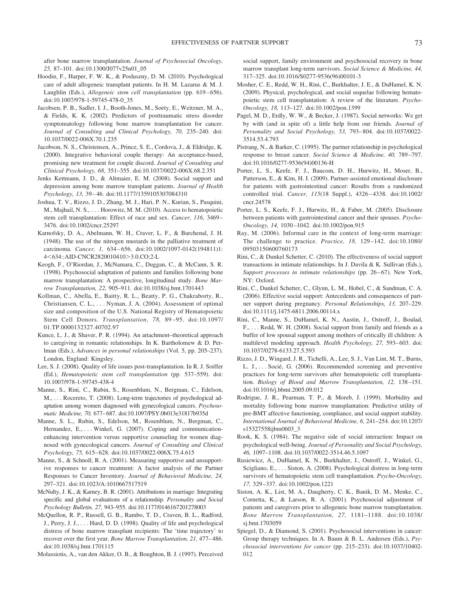after bone marrow transplantation. *Journal of Psychosocial Oncology, 25,* 87–101. doi:10.1300/J077v25n01\_05

- Hoodin, F., Harper, F. W. K., & Posluszny, D. M. (2010). Psychological care of adult allogeneic transplant patients. In H. M. Lazarus & M. J. Laughlin (Eds.), *Allogeneic stem cell transplantation* (pp. 619-656). doi:10.1007/978-1-59745-478-0\_35
- Jacobsen, P. B., Sadler, I. J., Booth-Jones, M., Soety, E., Weitzner, M. A., & Fields, K. K. (2002). Predictors of posttraumatic stress disorder symptomatology following bone marrow transplantation for cancer. *Journal of Consulting and Clinical Psychology, 70,* 235–240. doi: 10.1037/0022-006X.70.1.235
- Jacobson, N. S., Christensen, A., Prince, S. E., Cordova, J., & Eldridge, K. (2000). Integrative behavioral couple therapy: An acceptance-based, promising new treatment for couple discord. *Journal of Consulting and Clinical Psychology, 68,* 351–355. doi:10.1037/0022-006X.68.2.351
- Jenks Kettmann, J. D., & Altmaier, E. M. (2008). Social support and depression among bone marrow transplant patients. *Journal of Health Psychology, 13,* 39 – 46. doi:10.1177/1359105307084310
- Joshua, T. V., Rizzo, J. D., Zhang, M. J., Hari, P. N., Kurian, S., Pasquini, M., Majhail, N. S.,... Horowitz, M. M. (2010). Access to hematopoietic stem cell transplantation: Effect of race and sex. *Cancer, 116,* 3469 – 3476. doi:10.1002/cncr.25297
- Karnofsky, D. A., Abelmann, W. H., Craver, L. F., & Burchenal, J. H. (1948). The use of the nitrogen mustards in the palliative treatment of carcinoma. *Cancer, 1,* 634 – 656. doi:10.1002/1097-0142(194811)1: 4-634::AID-CNCR28200104103.0.CO;2-L
- Keogh, F., O'Riordan, J., McNamara, C., Duggan, C., & McCann, S. R. (1998). Psychosocial adaptation of patients and families following bone marrow transplantation: A prospective, longitudinal study. *Bone Marrow Transplantation, 22,* 905–911. doi:10.1038/sj.bmt.1701443
- Kollman, C., Abella, E., Baitty, R. L., Beatty, P. G., Chakraborty, R., Christiansen, C. L.,... Nyman, J. A. (2004). Assessment of optimal size and composition of the U.S. National Registry of Hematopoietic Stem Cell Donors. *Transplantation, 78,* 89 –95. doi:10.1097/ 01.TP.0000132327.40702.97
- Kunce, L. J., & Shaver, P. R. (1994). An attachment–theoretical approach to caregiving in romantic relationships. In K. Bartholomew & D. Perlman (Eds.), *Advances in personal relationships* (Vol. 5, pp. 205–237). London, England: Kingsley.
- Lee, S. J. (2008). Quality of life issues post-transplantation. In R. J. Soiffer (Ed.), *Hematopoietic stem cell transplantation* (pp. 537–559). doi: 10.1007/978-1-59745-438-4
- Manne, S., Rini, C., Rubin, S., Rosenblum, N., Bergman, C., Edelson, M., . . . Rocereto, T. (2008). Long-term trajectories of psychological adaptation among women diagnosed with gynecological cancers. *Psychosomatic Medicine, 70,* 677– 687. doi:10.1097/PSY.0b013e31817b935d
- Manne, S. L., Rubin, S., Edelson, M., Rosenblum, N., Bergman, C., Hernandez, E., ... Winkel, G. (2007). Coping and communicationenhancing intervention versus supportive counseling for women diagnosed with gynecological cancers. *Journal of Consulting and Clinical Psychology, 75,* 615– 628. doi:10.1037/0022-006X.75.4.615
- Manne, S., & Schnoll, R. A. (2001). Measuring supportive and unsupportive responses to cancer treatment: A factor analysis of the Partner Responses to Cancer Inventory. *Journal of Behavioral Medicine, 24,* 297–321. doi:10.1023/A:1010667517519
- McNulty, J. K., & Karney, B. R. (2001). Attributions in marriage: Integrating specific and global evaluations of a relationship. *Personality and Social Psychology Bulletin, 27,* 943–955. doi:10.1177/0146167201278003
- McQuellon, R. P., Russell, G. B., Rambo, T. D., Craven, B. L., Radford, J., Perry, J. J.,... Hurd, D. D. (1998). Quality of life and psychological distress of bone marrow transplant recipients: The 'time trajectory' to recover over the first year. *Bone Marrow Transplantation, 21,* 477– 486. doi:10.1038/sj.bmt.1701115
- Molassiotis, A., van den Akker, O. B., & Boughton, B. J. (1997). Perceived

social support, family environment and psychosocial recovery in bone marrow transplant long-term survivors. *Social Science & Medicine, 44,* 317–325. doi:10.1016/S0277-9536(96)00101-3

- Mosher, C. E., Redd, W. H., Rini, C., Burkhalter, J. E., & DuHamel, K. N. (2009). Physical, psychological, and social sequelae following hematopoietic stem cell transplantation: A review of the literature. *Psycho-Oncology, 18,* 113–127. doi:10.1002/pon.1399
- Pagel, M. D., Erdly, W. W., & Becker, J. (1987). Social networks: We get by with (and in spite of) a little help from our friends. *Journal of Personality and Social Psychology, 53,* 793– 804. doi:10.1037/0022- 3514.53.4.793
- Pistrang, N., & Barker, C. (1995). The partner relationship in psychological response to breast cancer. *Social Science & Medicine, 40,* 789 –797. doi:10.1016/0277-9536(94)00136-H
- Porter, L. S., Keefe, F. J., Baucom, D. H., Hurwitz, H., Moser, B., Patterson, E., & Kim, H. J. (2009). Partner-assisted emotional disclosure for patients with gastrointestinal cancer: Results from a randomized controlled trial. *Cancer, 115*(18 Suppl.), 4326 – 4338. doi:10.1002/ cncr.24578
- Porter, L. S., Keefe, F. J., Hurwitz, H., & Faber, M. (2005). Disclosure between patients with gastrointestinal cancer and their spouses. *Psycho-Oncology, 14,* 1030 –1042. doi:10.1002/pon.915
- Ray, M. (2006). Informal care in the context of long-term marriage: The challenge to practice. *Practice, 18,* 129 –142. doi:10.1080/ 09503150600760173
- Rini, C., & Dunkel Schetter, C. (2010). The effectiveness of social support transactions in intimate relationships. In J. Davila & K. Sullivan (Eds.), Support processes in intimate relationships (pp. 26-67). New York, NY: Oxford.
- Rini, C., Dunkel Schetter, C., Glynn, L. M., Hobel, C., & Sandman, C. A. (2006). Effective social support: Antecedents and consequences of partner support during pregnancy. *Personal Relationships, 13,* 207–229. doi:10.1111/j.1475-6811.2006.00114.x
- Rini, C., Manne, S., DuHamel, K. N., Austin, J., Ostroff, J., Boulad, F., . . . Redd, W. H. (2008). Social support from family and friends as a buffer of low spousal support among mothers of critically ill children: A multilevel modeling approach. *Health Psychology*, 27, 593-603. doi: 10.1037/0278-6133.27.5.593
- Rizzo, J. D., Wingard, J. R., Tichelli, A., Lee, S. J., Van Lint, M. T., Burns, L. J.,  $\ldots$  Socié, G. (2006). Recommended screening and preventive practices for long-term survivors after hematopoietic cell transplantation. *Biology of Blood and Marrow Transplantation, 12,* 138 –151. doi:10.1016/j.bbmt.2005.09.012
- Rodrigue, J. R., Pearman, T. P., & Moreb, J. (1999). Morbidity and mortality following bone marrow transplantation: Predictive utility of pre-BMT affective functioning, compliance, and social support stability. *International Journal of Behavioral Medicine, 6,* 241–254. doi:10.1207/ s15327558ijbm0603\_3
- Rook, K. S. (1984). The negative side of social interaction: Impact on psychological well-being. *Journal of Personality and Social Psychology, 46,* 1097–1108. doi:10.1037/0022-3514.46.5.1097
- Rusiewicz, A., DuHamel, K. N., Burkhalter, J., Ostroff, J., Winkel, G., Scigliano, E.,... Siston, A. (2008). Psychological distress in long-term survivors of hematopoietic stem cell transplantation. *Psycho-Oncology, 17,* 329 –337. doi:10.1002/pon.1221
- Siston, A. K., List, M. A., Daugherty, C. K., Banik, D. M., Menke, C., Cornetta, K., & Larson, R. A. (2001). Psychosocial adjustment of patients and caregivers prior to allogeneic bone marrow transplantation. *Bone Marrow Transplantation, 27,* 1181–1188. doi:10.1038/ sj.bmt.1703059
- Spiegel, D., & Diamond, S. (2001). Psychosocial interventions in cancer: Group therapy techniques. In A. Baum & B. L. Andersen (Eds.), *Psychosocial interventions for cancer* (pp. 215–233). doi:10.1037/10402- 012